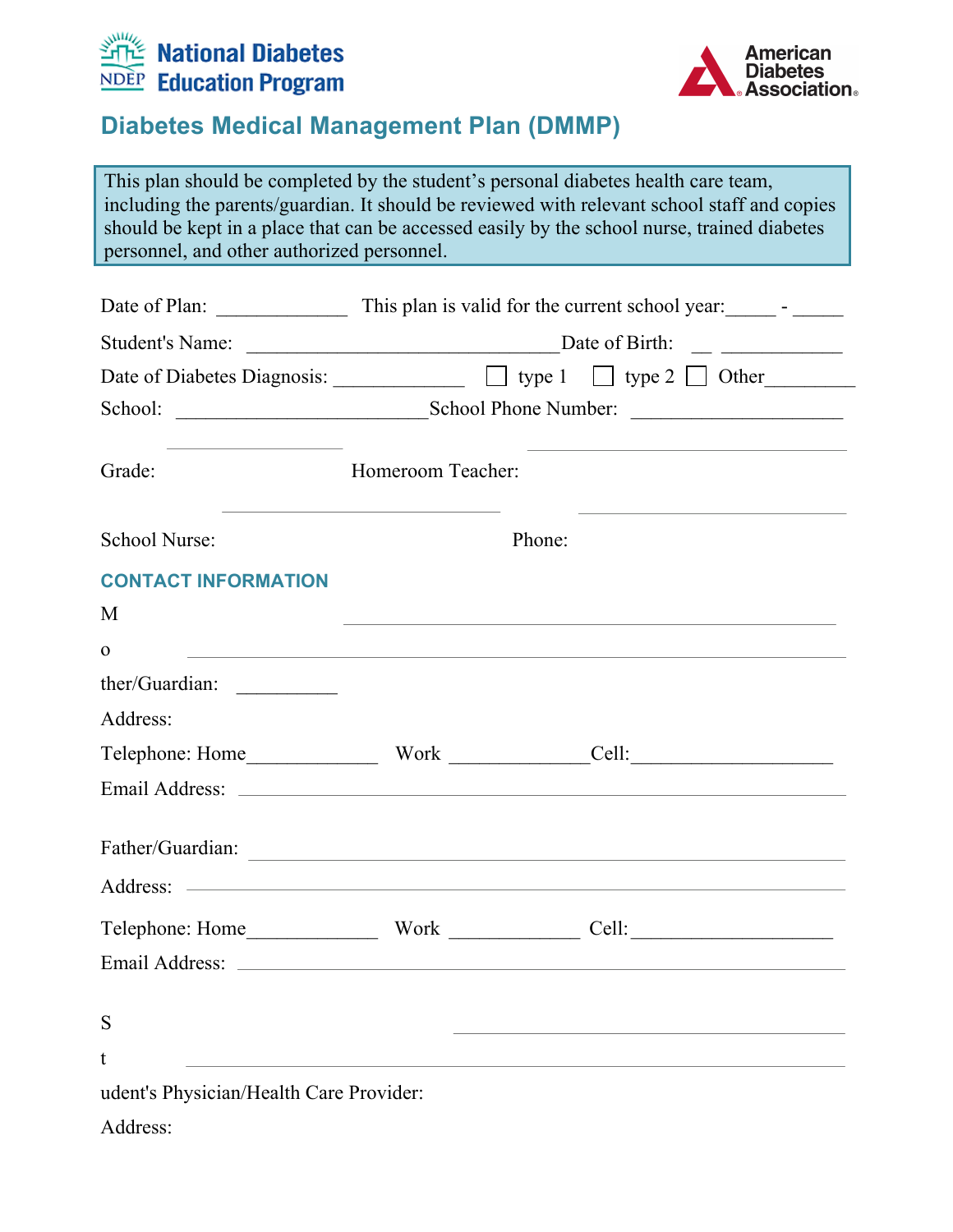



This plan should be completed by the student's personal diabetes health care team, including the parents/guardian. It should be reviewed with relevant school staff and copies should be kept in a place that can be accessed easily by the school nurse, trained diabetes personnel, and other authorized personnel.

| Grade:                                  | Homeroom Teacher: |                                                                                                                       |  |
|-----------------------------------------|-------------------|-----------------------------------------------------------------------------------------------------------------------|--|
| School Nurse:                           | Phone:            | <u> 1989 - Johann John Stein, markin fan it ferstjer fan de ferstjer fan it ferstjer fan it ferstjer fan it ferst</u> |  |
| <b>CONTACT INFORMATION</b>              |                   |                                                                                                                       |  |
| M                                       |                   |                                                                                                                       |  |
| $\mathbf 0$                             |                   | ,我们也不会有什么。""我们的人,我们也不会有什么?""我们的人,我们也不会有什么?""我们的人,我们也不会有什么?""我们的人,我们也不会有什么?""我们的人                                      |  |
|                                         |                   |                                                                                                                       |  |
| Address:                                |                   |                                                                                                                       |  |
|                                         |                   |                                                                                                                       |  |
|                                         |                   |                                                                                                                       |  |
|                                         |                   | Father/Guardian:                                                                                                      |  |
|                                         |                   |                                                                                                                       |  |
|                                         |                   |                                                                                                                       |  |
|                                         |                   |                                                                                                                       |  |
| S                                       |                   |                                                                                                                       |  |
| t                                       |                   |                                                                                                                       |  |
| udent's Physician/Health Care Provider: |                   |                                                                                                                       |  |
| Address:                                |                   |                                                                                                                       |  |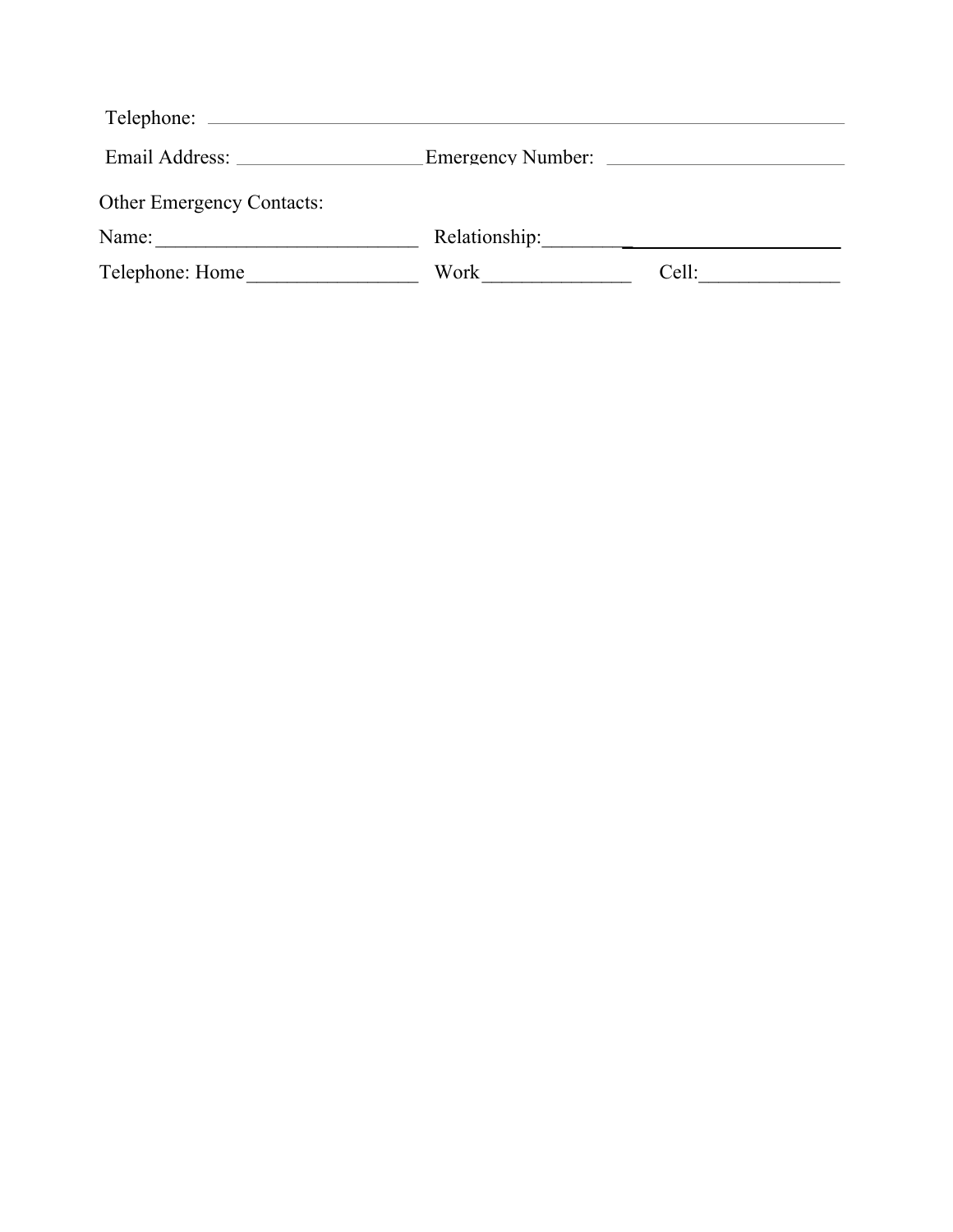|                                  | <b>Emergency Number:</b> | <u> 1980 - Jan James, maria al II-lea (b. 1980)</u> |
|----------------------------------|--------------------------|-----------------------------------------------------|
| <b>Other Emergency Contacts:</b> |                          |                                                     |
| Name:                            | Relationship:            |                                                     |
| Telephone: Home                  | Work                     | Cell:                                               |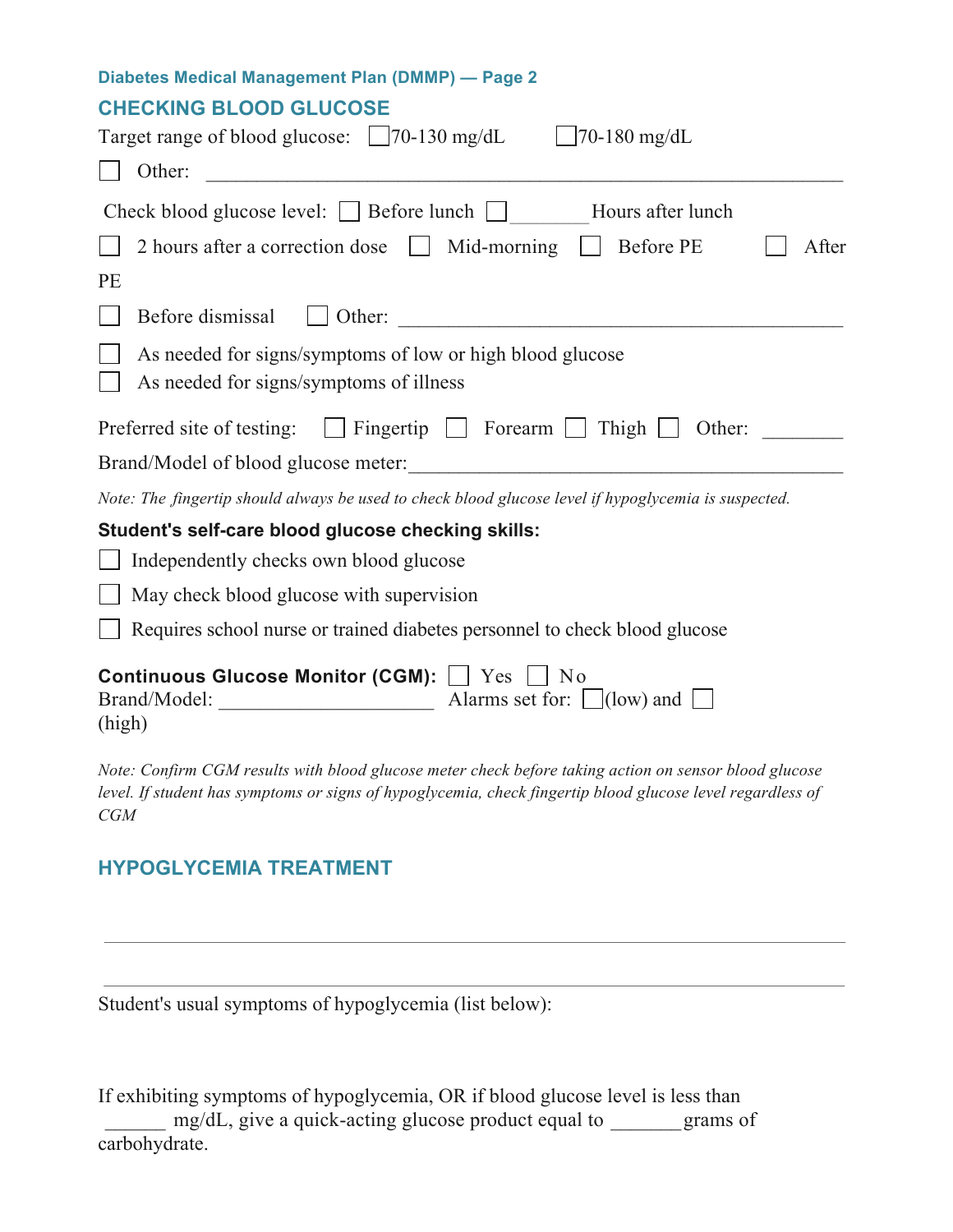### **CHECKING BLOOD GLUCOSE**

| $\bigcup$ 70-180 mg/dL<br>Target range of blood glucose: 170-130 mg/dL                               |  |  |
|------------------------------------------------------------------------------------------------------|--|--|
| Other:                                                                                               |  |  |
| Check blood glucose level: Before lunch   Hours after lunch                                          |  |  |
| 2 hours after a correction dose $\Box$ Mid-morning $\Box$ Before PE<br>After                         |  |  |
| PE                                                                                                   |  |  |
| Before dismissal<br>$\Box$ Other:                                                                    |  |  |
| As needed for signs/symptoms of low or high blood glucose<br>As needed for signs/symptoms of illness |  |  |
| Preferred site of testing: $\Box$ Fingertip $\Box$ Forearm $\Box$ Thigh $\Box$<br>Other:             |  |  |
|                                                                                                      |  |  |
| Note: The fingertip should always be used to check blood glucose level if hypoglycemia is suspected. |  |  |
| Student's self-care blood glucose checking skills:                                                   |  |  |
| Independently checks own blood glucose                                                               |  |  |
| May check blood glucose with supervision                                                             |  |  |
| Requires school nurse or trained diabetes personnel to check blood glucose                           |  |  |
| <b>Continuous Glucose Monitor (CGM):</b> U Yes<br>$\vert$   No<br>(high)                             |  |  |
| $\alpha$ $\alpha \alpha$                                                                             |  |  |

*Note: Confirm CGM results with blood glucose meter check before taking action on sensor blood glucose level. If student has symptoms or signs of hypoglycemia, check fingertip blood glucose level regardless of CGM*

## **HYPOGLYCEMIA TREATMENT**

Student's usual symptoms of hypoglycemia (list below):

If exhibiting symptoms of hypoglycemia, OR if blood glucose level is less than mg/dL, give a quick-acting glucose product equal to grams of carbohydrate.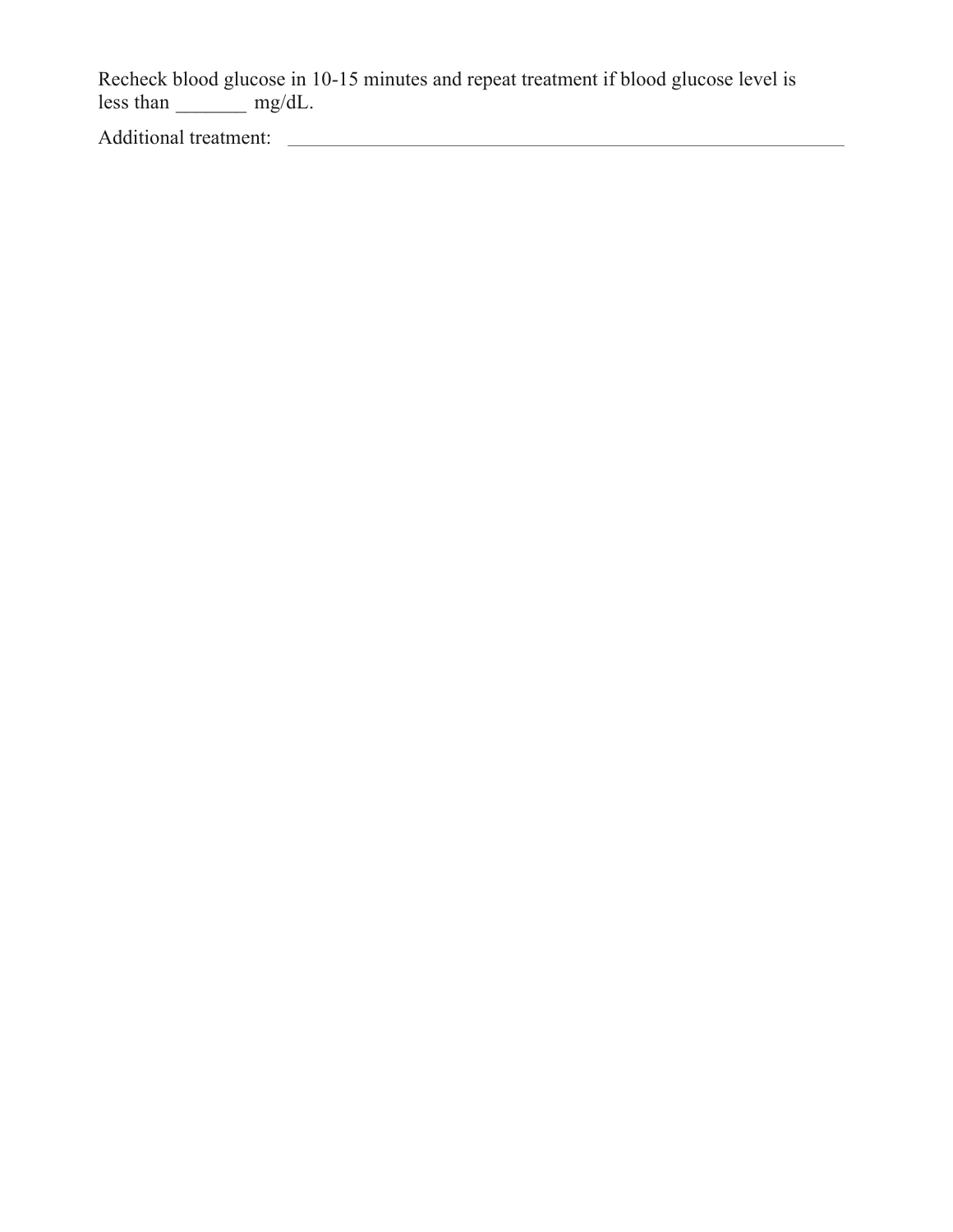Recheck blood glucose in 10-15 minutes and repeat treatment if blood glucose level is less than  $\frac{c}{\sqrt{a}}$  mg/dL.

Additional treatment: <u>and a series of the series of the series of the series of the series of the series of the series of the series of the series of the series of the series of the series of the series of the series of t</u>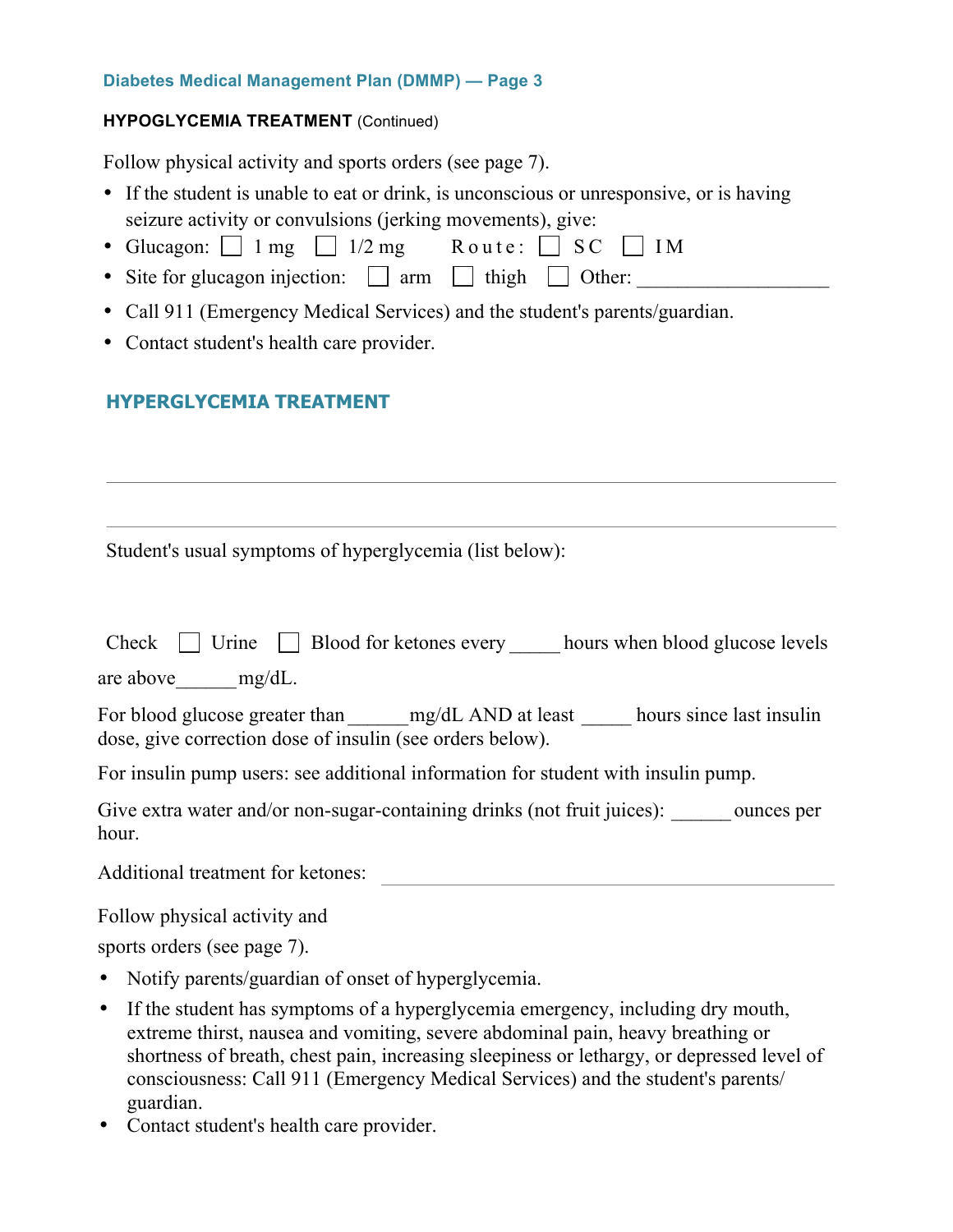#### **HYPOGLYCEMIA TREATMENT** (Continued)

Follow physical activity and sports orders (see page 7).

- If the student is unable to eat or drink, is unconscious or unresponsive, or is having seizure activity or convulsions (jerking movements), give:
- Glucagon:  $\Box$  1 mg  $\Box$  1/2 mg Route:  $\Box$  SC  $\Box$  IM
- Site for glucagon injection:  $\Box$  arm  $\Box$  thigh  $\Box$  Other:
- Call 911 (Emergency Medical Services) and the student's parents/guardian.
- Contact student's health care provider.

## **HYPERGLYCEMIA TREATMENT**

Student's usual symptoms of hyperglycemia (list below):

| Check $\Box$ Urine $\Box$ Blood for ketones every hours when blood glucose levels                                                       |
|-----------------------------------------------------------------------------------------------------------------------------------------|
| are above $mg/dL$ .                                                                                                                     |
| For blood glucose greater than mg/dL AND at least hours since last insulin<br>dose, give correction dose of insulin (see orders below). |
| For insulin pump users: see additional information for student with insulin pump.                                                       |
| Give extra water and/or non-sugar-containing drinks (not fruit juices): ounces per<br>hour.                                             |
| <b>Additional treatment for ketones:</b>                                                                                                |
| Follow physical activity and                                                                                                            |
| sports orders (see page 7).                                                                                                             |
| • Notify parents/guardian of onset of hyperglycemia.                                                                                    |
|                                                                                                                                         |

- If the student has symptoms of a hyperglycemia emergency, including dry mouth, extreme thirst, nausea and vomiting, severe abdominal pain, heavy breathing or shortness of breath, chest pain, increasing sleepiness or lethargy, or depressed level of consciousness: Call 911 (Emergency Medical Services) and the student's parents/ guardian.
- Contact student's health care provider.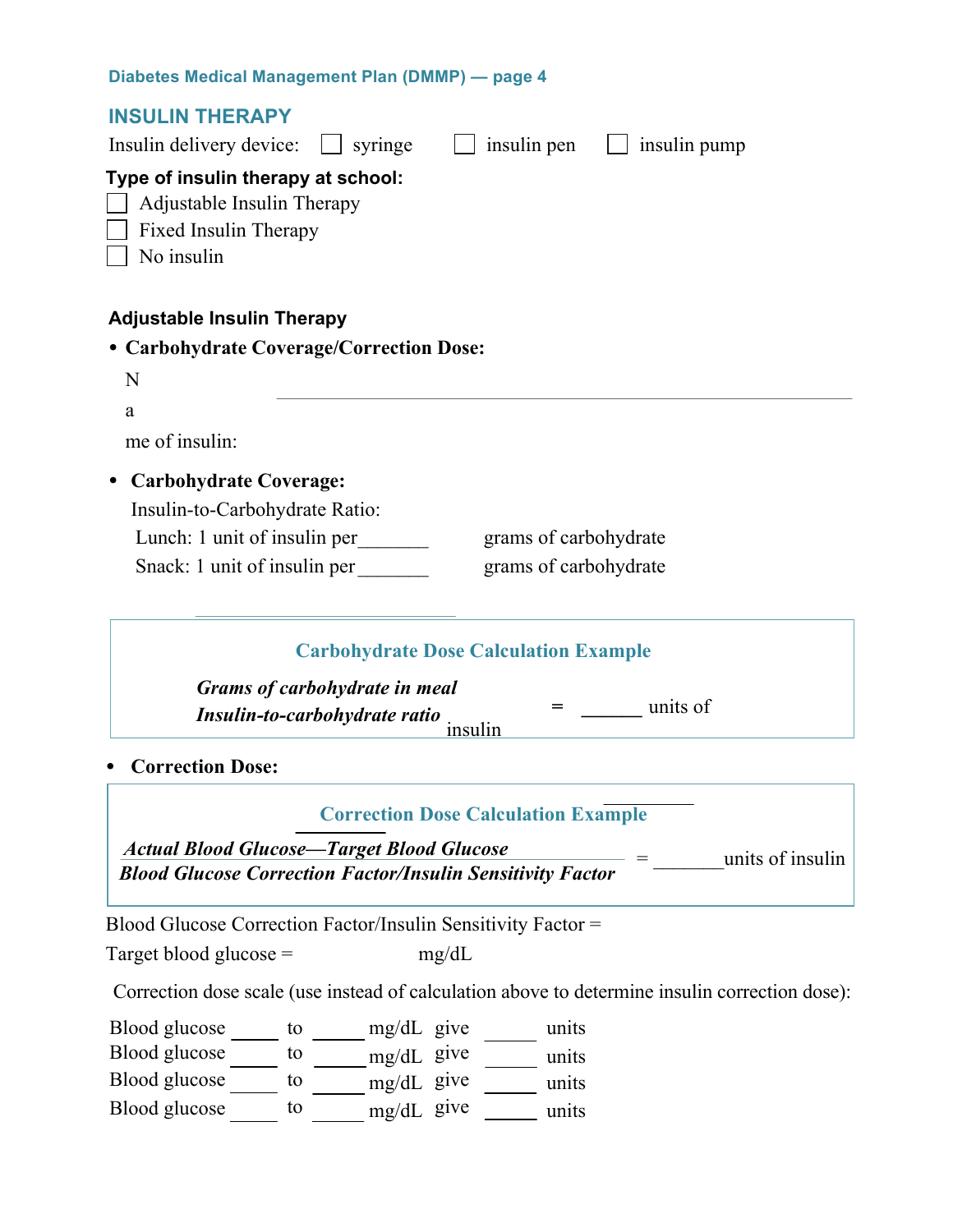#### **INSULIN THERAPY**

| Insulin delivery device:<br>syringe<br>insulin pen<br>insulin pump                                             |
|----------------------------------------------------------------------------------------------------------------|
| Type of insulin therapy at school:<br>Adjustable Insulin Therapy<br><b>Fixed Insulin Therapy</b><br>No insulin |
| <b>Adjustable Insulin Therapy</b>                                                                              |
| • Carbohydrate Coverage/Correction Dose:                                                                       |
| N                                                                                                              |
| a                                                                                                              |
| me of insulin:                                                                                                 |
| <b>Carbohydrate Coverage:</b>                                                                                  |
| Insulin-to-Carbohydrate Ratio:                                                                                 |
| Lunch: 1 unit of insulin per<br>grams of carbohydrate<br>Snack: 1 unit of insulin per<br>grams of carbohydrate |
| <b>Carbohydrate Dose Calculation Example</b><br><b>Grams of carbohydrate in meal</b>                           |
| units of<br>Insulin-to-carbohydrate ratio<br>insulin                                                           |

• **Correction Dose:**

#### **Correction Dose Calculation Example**

*Actual Blood Glucose—Target Blood Glucose Blood Glucose Correction Factor/Insulin Sensitivity Factor* = \_\_\_\_\_\_\_units of insulin

Blood Glucose Correction Factor/Insulin Sensitivity Factor =

Target blood glucose =  $mg/dL$ 

Correction dose scale (use instead of calculation above to determine insulin correction dose):

Blood glucose \_\_\_\_\_\_ to \_\_\_\_\_\_ mg/dL give \_\_\_\_\_\_ units Blood glucose to mg/dL give units Blood glucose to mg/dL give units Blood glucose  $\frac{1}{\sqrt{1-\frac{1}{n}}}$  to  $\frac{1}{\sqrt{1-\frac{1}{n}}}$  units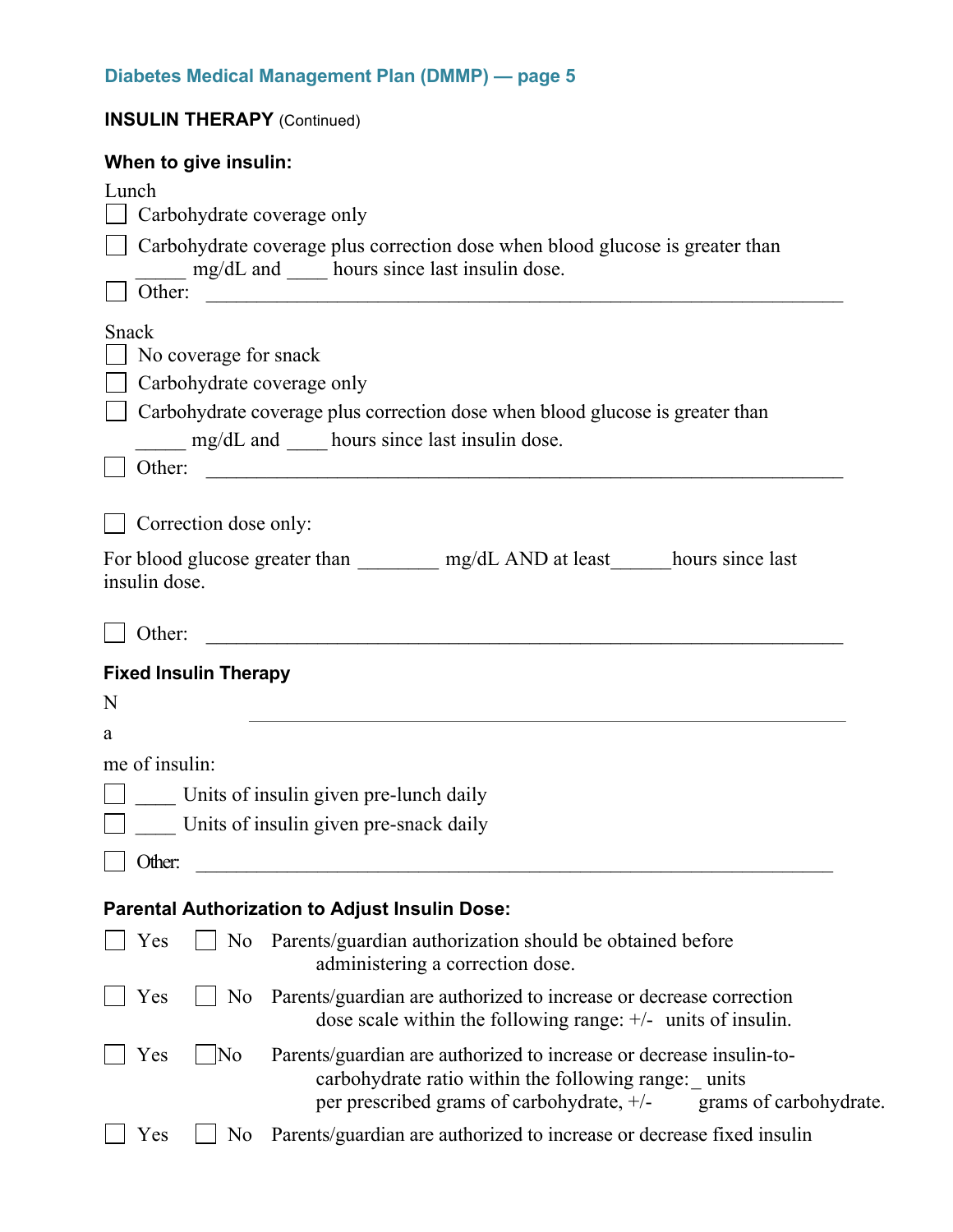| <b>INSULIN THERAPY (Continued)</b>                                                                                                                                                                                               |
|----------------------------------------------------------------------------------------------------------------------------------------------------------------------------------------------------------------------------------|
| When to give insulin:                                                                                                                                                                                                            |
| Lunch                                                                                                                                                                                                                            |
| Carbohydrate coverage only                                                                                                                                                                                                       |
| Carbohydrate coverage plus correction dose when blood glucose is greater than<br>mg/dL and _____ hours since last insulin dose.<br>Other:                                                                                        |
| <u> Alexandria de la contrada de la contrada de la contrada de la contrada de la contrada de la contrada de la c</u>                                                                                                             |
| Snack                                                                                                                                                                                                                            |
| No coverage for snack                                                                                                                                                                                                            |
| Carbohydrate coverage only                                                                                                                                                                                                       |
| Carbohydrate coverage plus correction dose when blood glucose is greater than                                                                                                                                                    |
| mg/dL and _____ hours since last insulin dose.                                                                                                                                                                                   |
| Other:                                                                                                                                                                                                                           |
| Correction dose only:                                                                                                                                                                                                            |
| For blood glucose greater than ___________ mg/dL AND at least_______hours since last<br>insulin dose.<br>Other:                                                                                                                  |
|                                                                                                                                                                                                                                  |
| <b>Fixed Insulin Therapy</b>                                                                                                                                                                                                     |
| N                                                                                                                                                                                                                                |
| a                                                                                                                                                                                                                                |
| me of insulin:                                                                                                                                                                                                                   |
| Units of insulin given pre-lunch daily                                                                                                                                                                                           |
| Units of insulin given pre-snack daily                                                                                                                                                                                           |
| Other:                                                                                                                                                                                                                           |
| <b>Parental Authorization to Adjust Insulin Dose:</b>                                                                                                                                                                            |
| No Parents/guardian authorization should be obtained before<br>Yes<br>administering a correction dose.                                                                                                                           |
| Parents/guardian are authorized to increase or decrease correction<br>Yes<br>N <sub>0</sub><br>dose scale within the following range: $+/-$ units of insulin.                                                                    |
| Parents/guardian are authorized to increase or decrease insulin-to-<br>Yes<br>$\overline{\rm No}$<br>carbohydrate ratio within the following range: units<br>per prescribed grams of carbohydrate, +/-<br>grams of carbohydrate. |
| Parents/guardian are authorized to increase or decrease fixed insulined<br>Yes<br>N <sub>0</sub>                                                                                                                                 |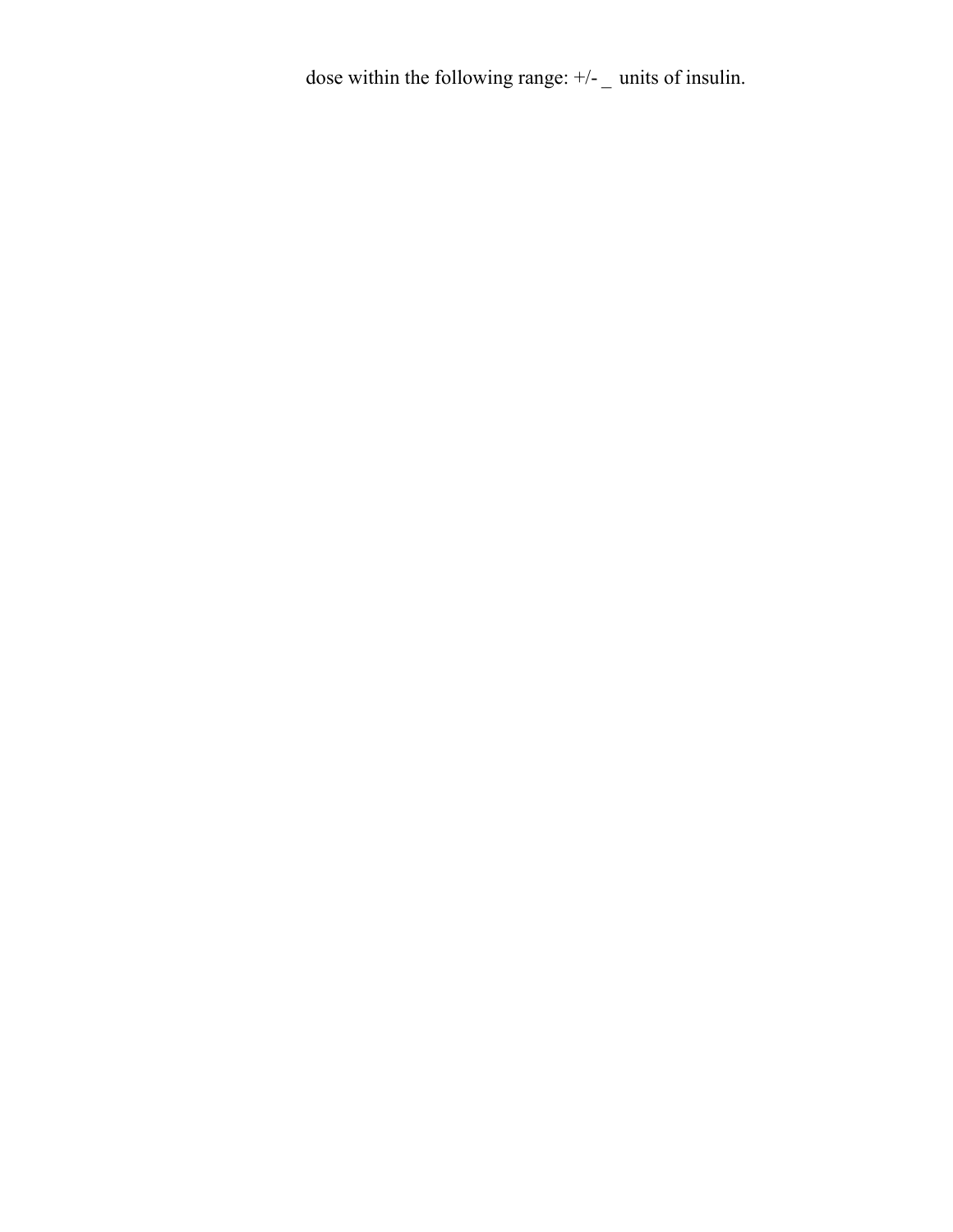dose within the following range:  $+/-$  units of insulin.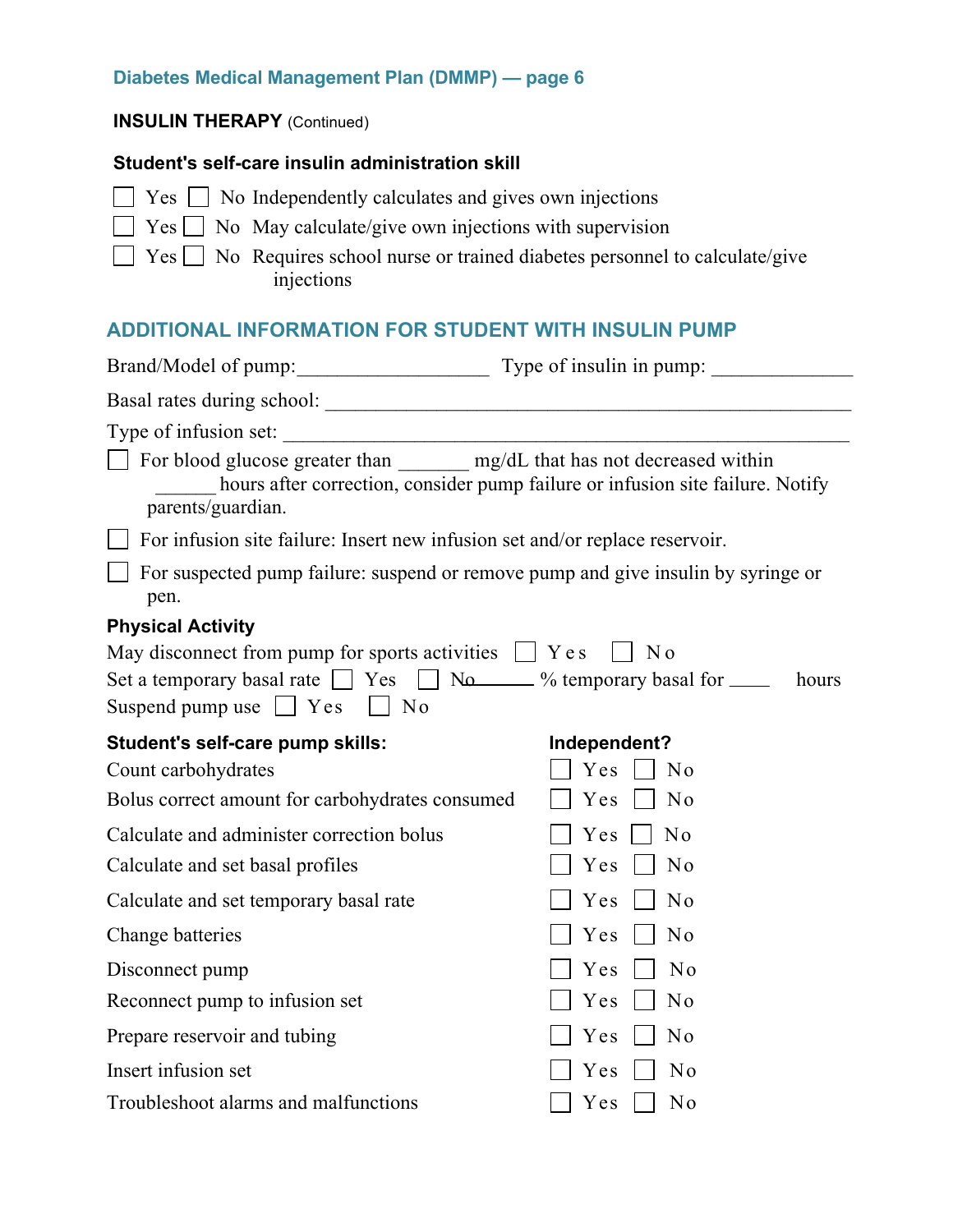#### **INSULIN THERAPY** (Continued)

#### **Student's self-care insulin administration skill**

- $\Box$  Yes  $\Box$  No Independently calculates and gives own injections
- $\Box$  Yes  $\Box$  No May calculate/give own injections with supervision

 $\Box$  Yes  $\Box$  No Requires school nurse or trained diabetes personnel to calculate/give injections

## **ADDITIONAL INFORMATION FOR STUDENT WITH INSULIN PUMP**

| Brand/Model of pump: Type of insulin in pump:                                                                                                                                                                      |                                                                                |  |  |
|--------------------------------------------------------------------------------------------------------------------------------------------------------------------------------------------------------------------|--------------------------------------------------------------------------------|--|--|
|                                                                                                                                                                                                                    |                                                                                |  |  |
|                                                                                                                                                                                                                    |                                                                                |  |  |
| For blood glucose greater than ________ mg/dL that has not decreased within<br>parents/guardian.                                                                                                                   | hours after correction, consider pump failure or infusion site failure. Notify |  |  |
| For infusion site failure: Insert new infusion set and/or replace reservoir.                                                                                                                                       |                                                                                |  |  |
| For suspected pump failure: suspend or remove pump and give insulin by syringe or<br>pen.                                                                                                                          |                                                                                |  |  |
| <b>Physical Activity</b>                                                                                                                                                                                           |                                                                                |  |  |
| May disconnect from pump for sports activities $\Box$ Y e s<br>N <sub>0</sub><br>Set a temporary basal rate $\Box$ Yes $\Box$ No $\Box$ % temporary basal for $\Box$<br>hours<br>Suspend pump use $\Box$ Yes<br>No |                                                                                |  |  |
| Student's self-care pump skills:                                                                                                                                                                                   | Independent?                                                                   |  |  |
| Count carbohydrates                                                                                                                                                                                                | Yes<br>No                                                                      |  |  |
| Bolus correct amount for carbohydrates consumed                                                                                                                                                                    | Yes<br>No                                                                      |  |  |
| Calculate and administer correction bolus                                                                                                                                                                          | No<br>Yes                                                                      |  |  |
| Calculate and set basal profiles                                                                                                                                                                                   | No<br>Yes                                                                      |  |  |
| Calculate and set temporary basal rate                                                                                                                                                                             | N <sub>0</sub><br>Yes                                                          |  |  |
| Change batteries                                                                                                                                                                                                   | No<br>Yes                                                                      |  |  |
| Disconnect pump                                                                                                                                                                                                    | Yes<br>No                                                                      |  |  |
| Reconnect pump to infusion set                                                                                                                                                                                     | Yes<br>No                                                                      |  |  |
| Prepare reservoir and tubing                                                                                                                                                                                       | Yes<br>No                                                                      |  |  |
| Insert infusion set                                                                                                                                                                                                | No<br>Yes                                                                      |  |  |
| Troubleshoot alarms and malfunctions                                                                                                                                                                               | Yes<br>No                                                                      |  |  |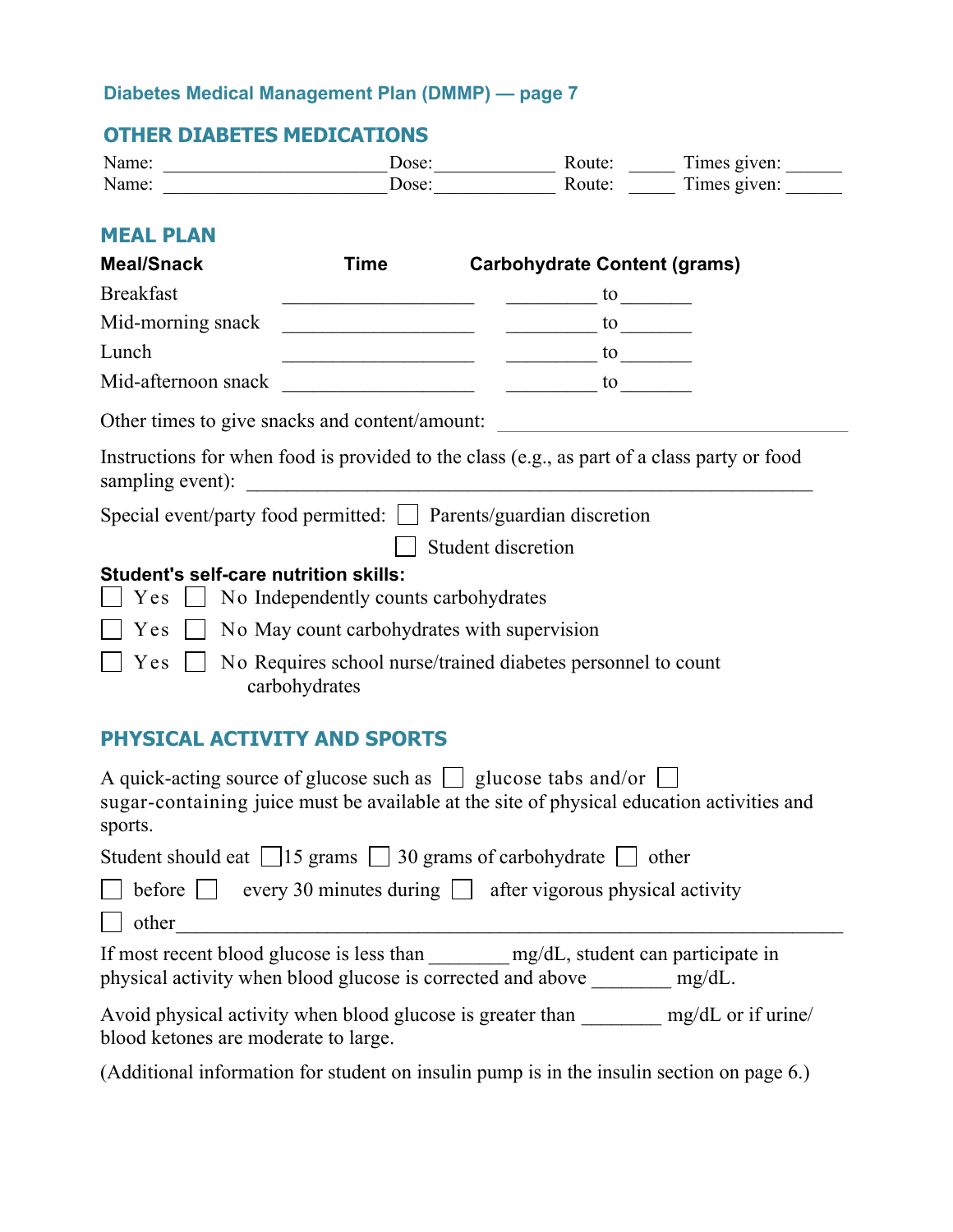## **OTHER DIABETES MEDICATIONS**

| Name: | Jose: | Route: | I imes given: |
|-------|-------|--------|---------------|
| Name: | Dose: | Route: | l'imes given: |

## **MEAL PLAN**

| <b>Meal/Snack</b>                                                                    | Time                                                                                                                 | <b>Carbohydrate Content (grams)</b>                                                         |  |
|--------------------------------------------------------------------------------------|----------------------------------------------------------------------------------------------------------------------|---------------------------------------------------------------------------------------------|--|
| <b>Breakfast</b>                                                                     |                                                                                                                      | to                                                                                          |  |
| Mid-morning snack                                                                    |                                                                                                                      | to                                                                                          |  |
| Lunch                                                                                | <u> 1989 - Johann John Harry Harry Harry Harry Harry Harry Harry Harry Harry Harry Harry Harry Harry Harry Harry</u> | $\frac{1}{2}$ to $\frac{1}{2}$ to $\frac{1}{2}$                                             |  |
| Mid-afternoon snack                                                                  |                                                                                                                      | to                                                                                          |  |
| Other times to give snacks and content/amount:                                       |                                                                                                                      |                                                                                             |  |
| sampling event):                                                                     | <u> 1980 - Jan Barat, martin a</u>                                                                                   | Instructions for when food is provided to the class (e.g., as part of a class party or food |  |
| Special event/party food permitted: $\vert \vert$ Parents/guardian discretion        |                                                                                                                      |                                                                                             |  |
| Student discretion                                                                   |                                                                                                                      |                                                                                             |  |
| Student's self-care nutrition skills:<br>Y e s                                       | No Independently counts carbohydrates                                                                                |                                                                                             |  |
| Yes                                                                                  | No May count carbohydrates with supervision                                                                          |                                                                                             |  |
| No Requires school nurse/trained diabetes personnel to count<br>Yes<br>carbohydrates |                                                                                                                      |                                                                                             |  |

## **PHYSICAL ACTIVITY AND SPORTS**

| A quick-acting source of glucose such as $\Box$ glucose tabs and/or $\Box$<br>sugar-containing juice must be available at the site of physical education activities and<br>sports. |  |  |
|------------------------------------------------------------------------------------------------------------------------------------------------------------------------------------|--|--|
| Student should eat $\Box$ 15 grams $\Box$ 30 grams of carbohydrate $\Box$ other                                                                                                    |  |  |
| $\Box$ before $\Box$ every 30 minutes during $\Box$ after vigorous physical activity                                                                                               |  |  |
| other                                                                                                                                                                              |  |  |
| If most recent blood glucose is less than mg/dL, student can participate in<br>physical activity when blood glucose is corrected and above mg/dL.                                  |  |  |
| Avoid physical activity when blood glucose is greater than<br>mg/dL or if urine/<br>blood ketones are moderate to large.                                                           |  |  |

(Additional information for student on insulin pump is in the insulin section on page 6.)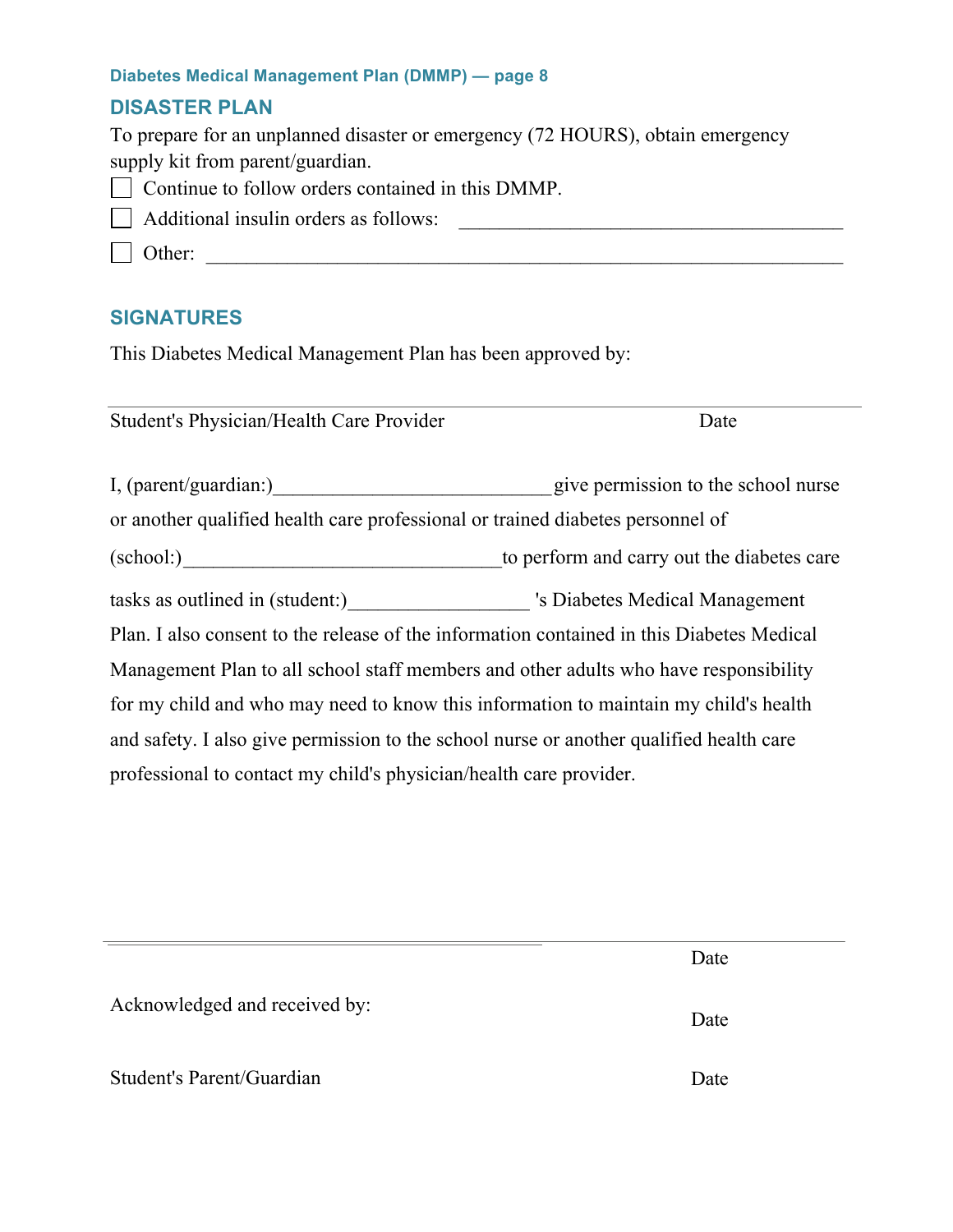### **DISASTER PLAN**

| To prepare for an unplanned disaster or emergency (72 HOURS), obtain emergency |
|--------------------------------------------------------------------------------|
| supply kit from parent/guardian.                                               |
| $\Box$ Continue to follow orders contained in this DMMP.                       |
| $\Box$ Additional insulin orders as follows:                                   |
| $\vert$ Other:                                                                 |
|                                                                                |

## **SIGNATURES**

This Diabetes Medical Management Plan has been approved by:

Student's Physician/Health Care Provider Date I, (parent/guardian:)\_\_\_\_\_\_\_\_\_\_\_\_\_\_\_\_\_\_\_\_\_\_\_\_\_\_\_\_give permission to the school nurse or another qualified health care professional or trained diabetes personnel of (school:)\_\_\_\_\_\_\_\_\_\_\_\_\_\_\_\_\_\_\_\_\_\_\_\_\_\_\_\_\_\_\_\_to perform and carry out the diabetes care tasks as outlined in (student:)\_\_\_\_\_\_\_\_\_\_\_\_\_\_\_\_\_\_ 's Diabetes Medical Management Plan. I also consent to the release of the information contained in this Diabetes Medical Management Plan to all school staff members and other adults who have responsibility for my child and who may need to know this information to maintain my child's health and safety. I also give permission to the school nurse or another qualified health care professional to contact my child's physician/health care provider.

|                               | Date |
|-------------------------------|------|
| Acknowledged and received by: | Date |
| Student's Parent/Guardian     | Date |